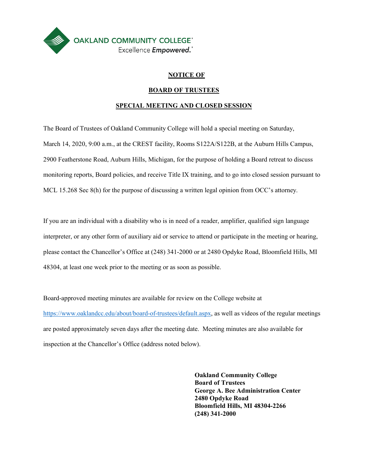

### **NOTICE OF**

### **BOARD OF TRUSTEES**

### **SPECIAL MEETING AND CLOSED SESSION**

The Board of Trustees of Oakland Community College will hold a special meeting on Saturday, MCL 15.268 Sec 8(h) for the purpose of discussing a written legal opinion from OCC's attorney. March 14, 2020, 9:00 a.m., at the CREST facility, Rooms S122A/S122B, at the Auburn Hills Campus, 2900 Featherstone Road, Auburn Hills, Michigan, for the purpose of holding a Board retreat to discuss monitoring reports, Board policies, and receive Title IX training, and to go into closed session pursuant to

 please contact the Chancellor's Office at (248) 341-2000 or at 2480 Opdyke Road, Bloomfield Hills, MI 48304, at least one week prior to the meeting or as soon as possible. If you are an individual with a disability who is in need of a reader, amplifier, qualified sign language interpreter, or any other form of auxiliary aid or service to attend or participate in the meeting or hearing,

Board-approved meeting minutes are available for review on the College website at [https://www.oaklandcc.edu/about/board-of-trustees/default.aspx,](https://www.oaklandcc.edu/about/board-of-trustees/default.aspx) as well as videos of the regular meetings are posted approximately seven days after the meeting date. Meeting minutes are also available for inspection at the Chancellor's Office (address noted below).

> **Oakland Community College Board of Trustees George A. Bee Administration Center 2480 Opdyke Road Bloomfield Hills, MI 48304-2266 (248) 341-2000**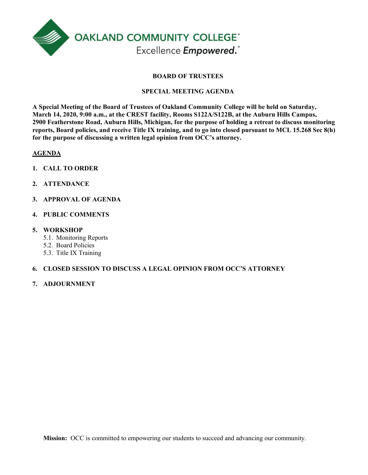

### **BOARD OF TRUSTEES**

### **SPECIAL MEETING AGENDA**

 **reports, Board policies, and receive Title IX training, and to go into closed pursuant to MCL 15.268 Sec 8(h) A Special Meeting of the Board of Trustees of Oakland Community College will be held on Saturday, March 14, 2020, 9:00 a.m., at the CREST facility, Rooms S122A/S122B, at the Auburn Hills Campus, 2900 Featherstone Road, Auburn Hills, Michigan, for the purpose of holding a retreat to discuss monitoring for the purpose of discussing a written legal opinion from OCC's attorney.** 

### **AGENDA**

- **1. CALL TO ORDER**
- **2. ATTENDANCE**
- **3. APPROVAL OF AGENDA**
- **4. PUBLIC COMMENTS**

### **5. WORKSHOP**

- 5.1. Monitoring Reports
- 5.2. Board Policies
- 5.3. Title IX Training

### **6. CLOSED SESSION TO DISCUSS A LEGAL OPINION FROM OCC'S ATTORNEY**

### **7. ADJOURNMENT**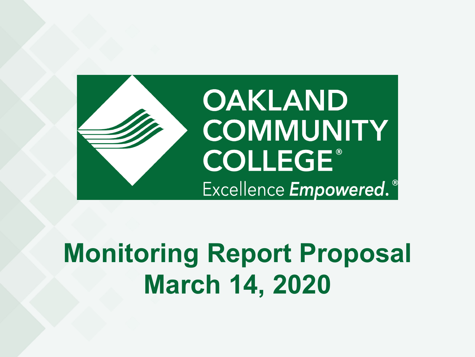

# **Monitoring Report Proposal March 14, 2020**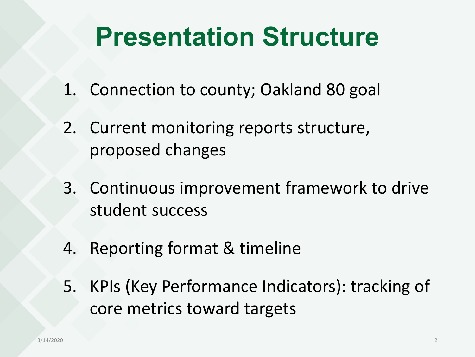# **Presentation Structure**

- 1. Connection to county; Oakland 80 goal
- 2. Current monitoring reports structure, proposed changes
- 3. Continuous improvement framework to drive student success
- 4. Reporting format & timeline
- 5. KPIs (Key Performance Indicators): tracking of core metrics toward targets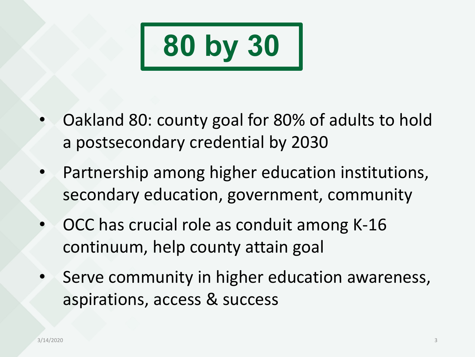

- Oakland 80: county goal for 80% of adults to hold a postsecondary credential by 2030
- Partnership among higher education institutions, secondary education, government, community
- OCC has crucial role as conduit among K-16 continuum, help county attain goal
- Serve community in higher education awareness, aspirations, access & success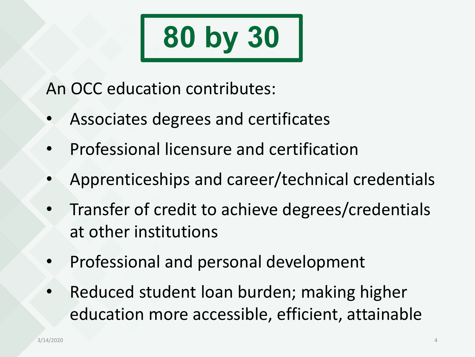

An OCC education contributes:

- Associates degrees and certificates
- Professional licensure and certification
- Apprenticeships and career/technical credentials
- Transfer of credit to achieve degrees/credentials at other institutions
- Professional and personal development
- Reduced student loan burden; making higher education more accessible, efficient, attainable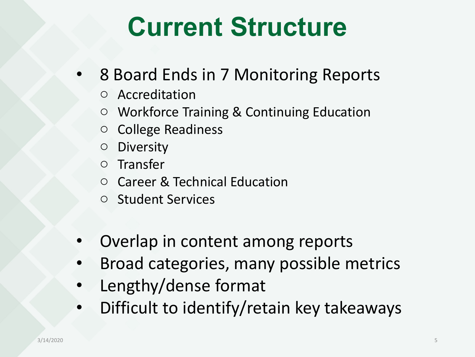# **Current Structure**

- 8 Board Ends in 7 Monitoring Reports
	- o Accreditation
	- o Workforce Training & Continuing Education
	- o College Readiness
	- o Diversity
	- o Transfer
	- o Career & Technical Education
	- o Student Services
- Overlap in content among reports
- Broad categories, many possible metrics
- Lengthy/dense format
- Difficult to identify/retain key takeaways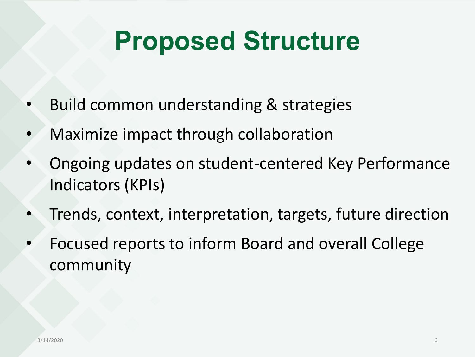# **Proposed Structure**

- Build common understanding & strategies
- Maximize impact through collaboration
- Ongoing updates on student-centered Key Performance Indicators (KPIs)
- Trends, context, interpretation, targets, future direction
- Focused reports to inform Board and overall College community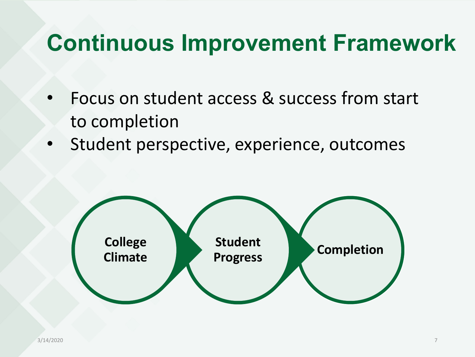- Focus on student access & success from start to completion
- Student perspective, experience, outcomes

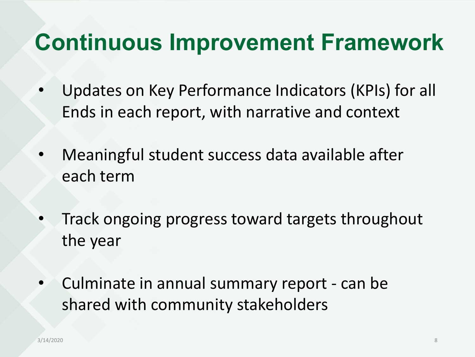- Updates on Key Performance Indicators (KPIs) for all Ends in each report, with narrative and context
- Meaningful student success data available after each term
- Track ongoing progress toward targets throughout the year
- Culminate in annual summary report can be shared with community stakeholders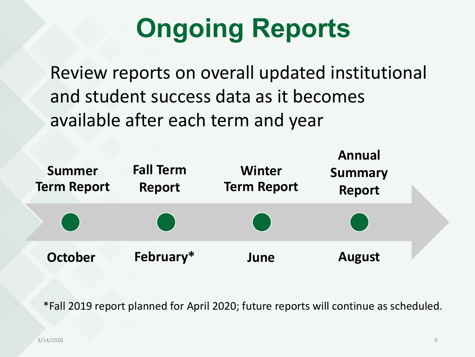# **Ongoing Reports**

Review reports on overall updated institutional and student success data as it becomes available after each term and year



\*Fall 2019 report planned for April 2020; future reports will continue as scheduled.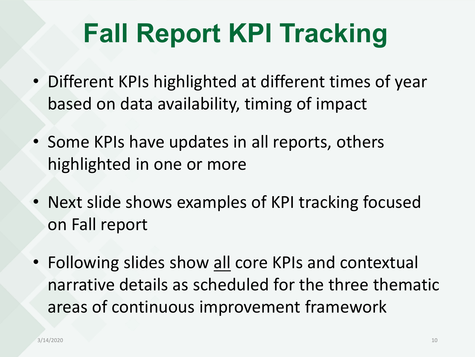# **Fall Report KPI Tracking**

- Different KPIs highlighted at different times of year based on data availability, timing of impact
- Some KPIs have updates in all reports, others highlighted in one or more
- Next slide shows examples of KPI tracking focused on Fall report
- Following slides show all core KPIs and contextual narrative details as scheduled for the three thematic areas of continuous improvement framework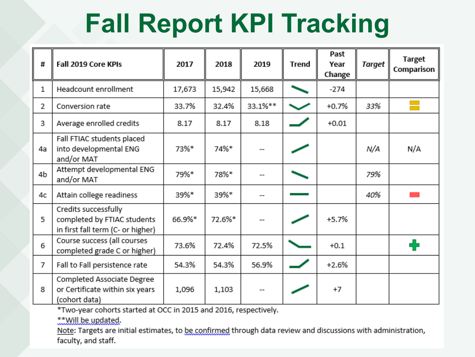# **Fall Report KPI Tracking**

| #  | Fall 2019 Core KPIs                                                                      | 2017   | 2018   | 2019    | <b>Trend</b> | Past<br>Year<br>Change | <b>Target</b> | <b>Target</b><br>Comparison |
|----|------------------------------------------------------------------------------------------|--------|--------|---------|--------------|------------------------|---------------|-----------------------------|
| 1  | Headcount enrollment                                                                     | 17,673 | 15,942 | 15,668  |              | $-274$                 |               |                             |
| 2  | Conversion rate                                                                          | 33.7%  | 32.4%  | 33.1%** |              | $+0.7%$                | 33%           |                             |
| 3  | Average enrolled credits                                                                 | 8.17   | 8.17   | 8.18    |              | $+0.01$                |               |                             |
| 4a | Fall FTIAC students placed<br>into developmental ENG<br>and/or MAT                       | 73%*   | 74%*   |         |              |                        | N/A           | N/A                         |
| 4b | Attempt developmental ENG<br>and/or MAT                                                  | 79%*   | 78%*   |         |              |                        | 79%           |                             |
| 4c | Attain college readiness                                                                 | 39%*   | 39%*   |         |              |                        | 40%           |                             |
| 5  | Credits successfully<br>completed by FTIAC students<br>in first fall term (C- or higher) | 66.9%* | 72.6%* |         |              | $+5.7%$                |               |                             |
| 6  | Course success (all courses<br>completed grade C or higher)                              | 73.6%  | 72.4%  | 72.5%   |              | $+0.1$                 |               | 4                           |
| 7  | Fall to Fall persistence rate                                                            | 54.3%  | 54.3%  | 56.9%   |              | $+2.6%$                |               |                             |
| 8  | Completed Associate Degree<br>or Certificate within six years<br>(cohort data)           | 1,096  | 1,103  |         |              | $+7$                   |               |                             |

\*Two-year cohorts started at OCC in 2015 and 2016, respectively.

\*\* Will be updated.

Note: Targets are initial estimates, to be confirmed through data review and discussions with administration, faculty, and staff.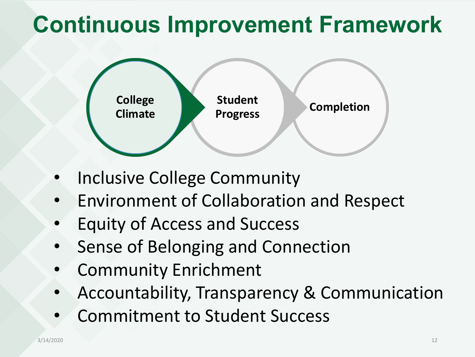

- Inclusive College Community
- Environment of Collaboration and Respect
- Equity of Access and Success
- Sense of Belonging and Connection
- Community Enrichment
- Accountability, Transparency & Communication
- Commitment to Student Success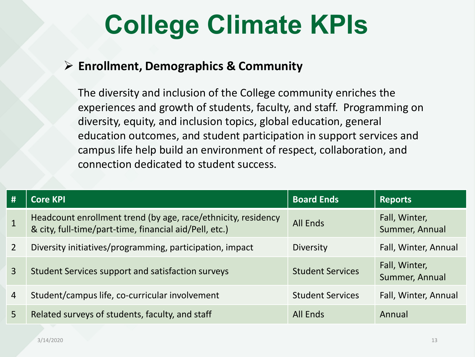# **College Climate KPIs**

## **Enrollment, Demographics & Community**

The diversity and inclusion of the College community enriches the experiences and growth of students, faculty, and staff. Programming on diversity, equity, and inclusion topics, global education, general education outcomes, and student participation in support services and campus life help build an environment of respect, collaboration, and connection dedicated to student success.

| #              | <b>Core KPI</b>                                                                                                         | <b>Board Ends</b>       | Reports                         |
|----------------|-------------------------------------------------------------------------------------------------------------------------|-------------------------|---------------------------------|
| $\mathbf{1}$   | Headcount enrollment trend (by age, race/ethnicity, residency<br>& city, full-time/part-time, financial aid/Pell, etc.) | <b>All Ends</b>         | Fall, Winter,<br>Summer, Annual |
| $\overline{2}$ | Diversity initiatives/programming, participation, impact                                                                | Diversity               | Fall, Winter, Annual            |
| $\mathbf{3}$   | Student Services support and satisfaction surveys                                                                       | <b>Student Services</b> | Fall, Winter,<br>Summer, Annual |
| $\overline{4}$ | Student/campus life, co-curricular involvement                                                                          | <b>Student Services</b> | Fall, Winter, Annual            |
| 5              | Related surveys of students, faculty, and staff                                                                         | <b>All Ends</b>         | Annual                          |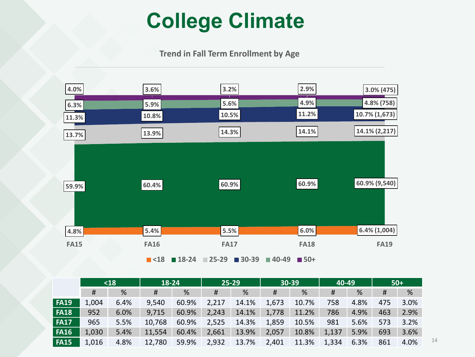## **College Climate**

**Trend in Fall Term Enrollment by Age**



|             | $18$  |      | 18-24  |       | $25 - 29$ |       | $30 - 39$ |       | 40-49 |      | $50+$ |      |
|-------------|-------|------|--------|-------|-----------|-------|-----------|-------|-------|------|-------|------|
|             | #     | %    | #      | %     | #         | %     | #         | %     | #     | %    | #     | %    |
| <b>FA19</b> | 1,004 | 6.4% | 9,540  | 60.9% | 2,217     | 14.1% | 1,673     | 10.7% | 758   | 4.8% | 475   | 3.0% |
| <b>FA18</b> | 952   | 6.0% | 9,715  | 60.9% | 2,243     | 14.1% | 1,778     | 11.2% | 786   | 4.9% | 463   | 2.9% |
| <b>FA17</b> | 965   | 5.5% | 10,768 | 60.9% | 2,525     | 14.3% | 1,859     | 10.5% | 981   | 5.6% | 573   | 3.2% |
| <b>FA16</b> | 1,030 | 5.4% | 11,554 | 60.4% | 2,661     | 13.9% | 2,057     | 10.8% | 1,137 | 5.9% | 693   | 3.6% |
| <b>FA15</b> | 1,016 | 4.8% | 12,780 | 59.9% | 2,932     | 13.7% | 2,401     | 11.3% | 1,334 | 6.3% | 861   | 4.0% |

14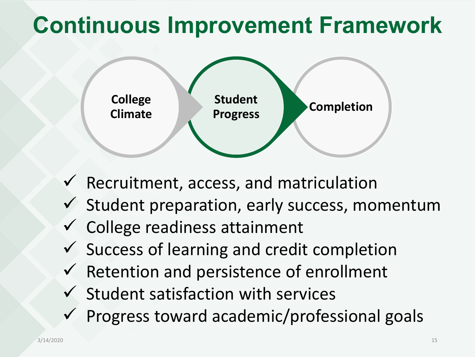

- $\checkmark$  Recruitment, access, and matriculation
- $\checkmark$  Student preparation, early success, momentum
- $\checkmark$  College readiness attainment
- $\checkmark$  Success of learning and credit completion
- $\checkmark$  Retention and persistence of enrollment
- $\checkmark$  Student satisfaction with services
- $\checkmark$  Progress toward academic/professional goals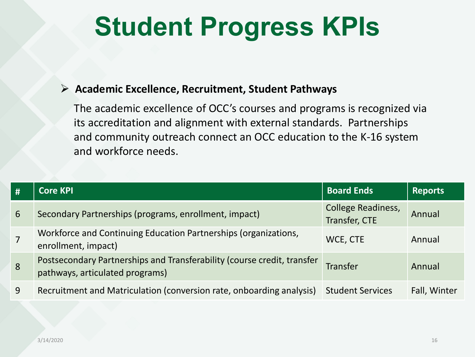# **Student Progress KPIs**

## **Academic Excellence, Recruitment, Student Pathways**

The academic excellence of OCC's courses and programs is recognized via its accreditation and alignment with external standards. Partnerships and community outreach connect an OCC education to the K-16 system and workforce needs.

| # | <b>Core KPI</b>                                                                                            | <b>Board Ends</b>                          | <b>Reports</b> |
|---|------------------------------------------------------------------------------------------------------------|--------------------------------------------|----------------|
| 6 | Secondary Partnerships (programs, enrollment, impact)                                                      | <b>College Readiness,</b><br>Transfer, CTE | Annual         |
|   | Workforce and Continuing Education Partnerships (organizations,<br>enrollment, impact)                     | WCE, CTE                                   | Annual         |
| 8 | Postsecondary Partnerships and Transferability (course credit, transfer<br>pathways, articulated programs) | <b>Transfer</b>                            | Annual         |
| 9 | Recruitment and Matriculation (conversion rate, onboarding analysis)                                       | <b>Student Services</b>                    | Fall, Winter   |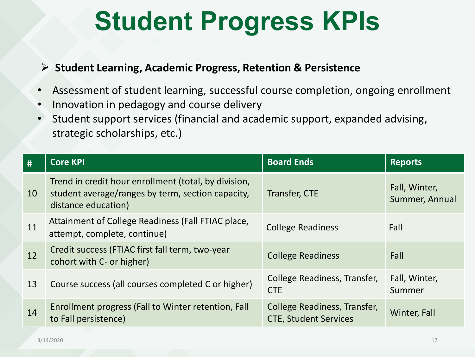# **Student Progress KPIs**

## **Student Learning, Academic Progress, Retention & Persistence**

- Assessment of student learning, successful course completion, ongoing enrollment
- Innovation in pedagogy and course delivery
- Student support services (financial and academic support, expanded advising, strategic scholarships, etc.)

| #  | <b>Core KPI</b>                                                                                                                  | <b>Board Ends</b>                                            | <b>Reports</b>                  |
|----|----------------------------------------------------------------------------------------------------------------------------------|--------------------------------------------------------------|---------------------------------|
| 10 | Trend in credit hour enrollment (total, by division,<br>student average/ranges by term, section capacity,<br>distance education) | Transfer, CTE                                                | Fall, Winter,<br>Summer, Annual |
| 11 | Attainment of College Readiness (Fall FTIAC place,<br>attempt, complete, continue)                                               | <b>College Readiness</b>                                     | Fall                            |
| 12 | Credit success (FTIAC first fall term, two-year<br>cohort with C- or higher)                                                     | <b>College Readiness</b>                                     | Fall                            |
| 13 | Course success (all courses completed C or higher)                                                                               | College Readiness, Transfer,<br><b>CTE</b>                   | Fall, Winter,<br>Summer         |
| 14 | Enrollment progress (Fall to Winter retention, Fall<br>to Fall persistence)                                                      | College Readiness, Transfer,<br><b>CTE, Student Services</b> | Winter, Fall                    |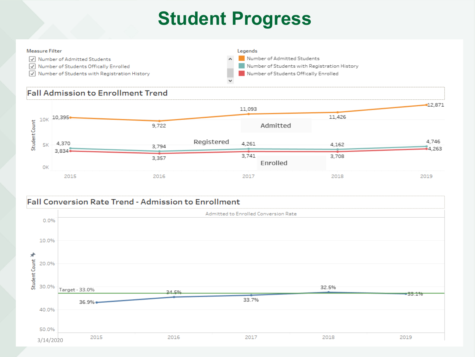## **Student Progress**

#### **Measure Filter**

- V Number of Admitted Students
- V Number of Students Offically Enrolled
- $\sqrt{\sqrt{ }}$  Number of Students with Registration History

Legends Number of Admitted Students Number of Students with Registration History Number of Students Offically Enrolled b.

### **Fall Admission to Enrollment Trend**



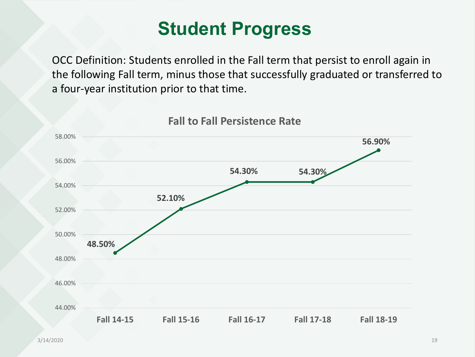## **Student Progress**

OCC Definition: Students enrolled in the Fall term that persist to enroll again in the following Fall term, minus those that successfully graduated or transferred to a four-year institution prior to that time.



## **Fall to Fall Persistence Rate**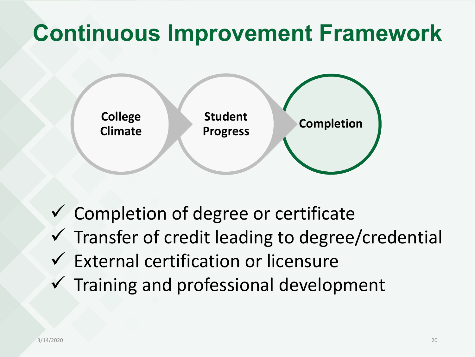

 $\checkmark$  Completion of degree or certificate  $\checkmark$  Transfer of credit leading to degree/credential  $\checkmark$  External certification or licensure  $\checkmark$  Training and professional development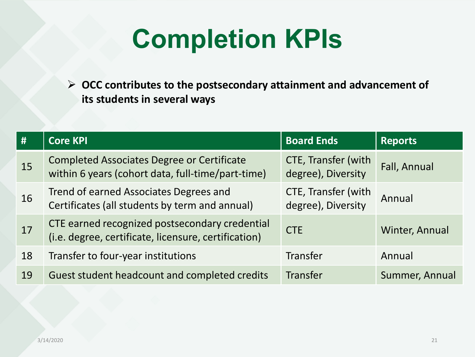# **Completion KPIs**

 **OCC contributes to the postsecondary attainment and advancement of its students in several ways**

| #  | <b>Core KPI</b>                                                                                        | <b>Board Ends</b>                                | <b>Reports</b> |
|----|--------------------------------------------------------------------------------------------------------|--------------------------------------------------|----------------|
| 15 | <b>Completed Associates Degree or Certificate</b><br>within 6 years (cohort data, full-time/part-time) | <b>CTE, Transfer (with</b><br>degree), Diversity | Fall, Annual   |
| 16 | Trend of earned Associates Degrees and<br>Certificates (all students by term and annual)               | <b>CTE, Transfer (with</b><br>degree), Diversity | Annual         |
| 17 | CTE earned recognized postsecondary credential<br>(i.e. degree, certificate, licensure, certification) | <b>CTE</b>                                       | Winter, Annual |
| 18 | Transfer to four-year institutions                                                                     | Transfer                                         | Annual         |
| 19 | Guest student headcount and completed credits                                                          | <b>Transfer</b>                                  | Summer, Annual |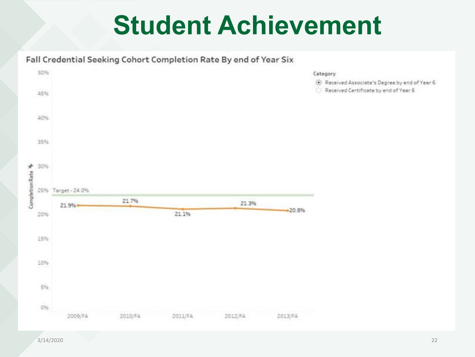# **Student Achievement**

### Fall Credential Seeking Cohort Completion Rate By end of Year Six



3/14/2020 22